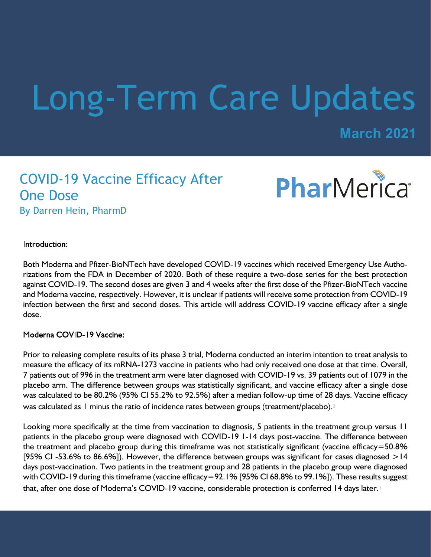# Long-Term Care Updates

**March 2021**

## COVID-19 Vaccine Efficacy After One Dose By Darren Hein, PharmD



Introduction:

Both Moderna and Pfizer-BioNTech have developed COVID-19 vaccines which received Emergency Use Authorizations from the FDA in December of 2020. Both of these require a two-dose series for the best protection against COVID-19. The second doses are given 3 and 4 weeks after the first dose of the Pfizer-BioNTech vaccine and Moderna vaccine, respectively. However, it is unclear if patients will receive some protection from COVID-19 infection between the first and second doses. This article will address COVID-19 vaccine efficacy after a single dose.

Moderna COVID-19 Vaccine:

Prior to releasing complete results of its phase 3 trial, Moderna conducted an interim intention to treat analysis to measure the efficacy of its mRNA-1273 vaccine in patients who had only received one dose at that time. Overall, 7 patients out of 996 in the treatment arm were later diagnosed with COVID-19 vs. 39 patients out of 1079 in the placebo arm. The difference between groups was statistically significant, and vaccine efficacy after a single dose was calculated to be 80.2% (95% CI 55.2% to 92.5%) after a median follow-up time of 28 days. Vaccine efficacy was calculated as 1 minus the ratio of incidence rates between groups (treatment/placebo).<sup>1</sup>

Looking more specifically at the time from vaccination to diagnosis, 5 patients in the treatment group versus 11 patients in the placebo group were diagnosed with COVID-19 1-14 days post-vaccine. The difference between the treatment and placebo group during this timeframe was not statistically significant (vaccine efficacy=50.8% [95% CI -53.6% to 86.6%]). However, the difference between groups was significant for cases diagnosed  $>14$ days post-vaccination. Two patients in the treatment group and 28 patients in the placebo group were diagnosed with COVID-19 during this timeframe (vaccine efficacy=92.1% [95% CI 68.8% to 99.1%]). These results suggest that, after one dose of Moderna's COVID-19 vaccine, considerable protection is conferred 14 days later.<sup>1</sup>